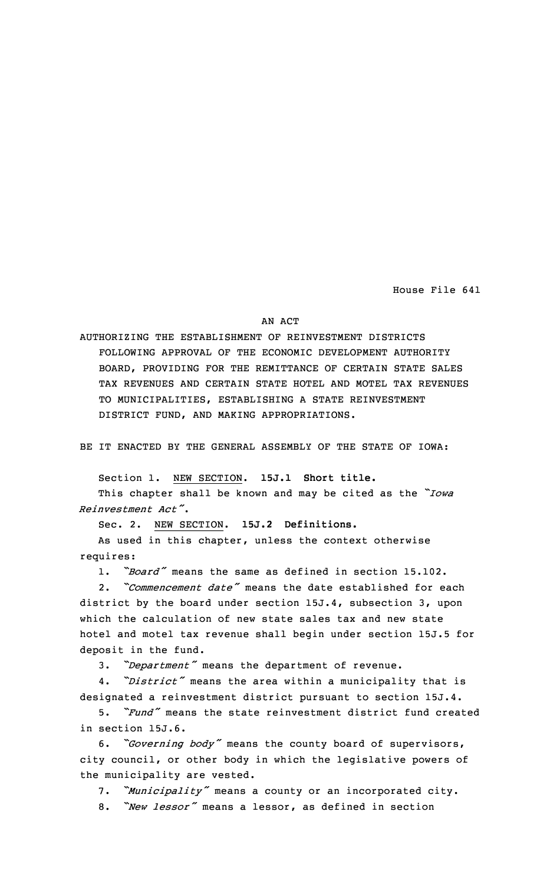House File 641

## AN ACT

AUTHORIZING THE ESTABLISHMENT OF REINVESTMENT DISTRICTS FOLLOWING APPROVAL OF THE ECONOMIC DEVELOPMENT AUTHORITY BOARD, PROVIDING FOR THE REMITTANCE OF CERTAIN STATE SALES TAX REVENUES AND CERTAIN STATE HOTEL AND MOTEL TAX REVENUES TO MUNICIPALITIES, ESTABLISHING A STATE REINVESTMENT DISTRICT FUND, AND MAKING APPROPRIATIONS.

BE IT ENACTED BY THE GENERAL ASSEMBLY OF THE STATE OF IOWA:

Section 1. NEW SECTION. **15J.1 Short title.**

This chapter shall be known and may be cited as the *"Iowa Reinvestment Act"*.

Sec. 2. NEW SECTION. **15J.2 Definitions.**

As used in this chapter, unless the context otherwise requires:

1. *"Board"* means the same as defined in section 15.102.

2. *"Commencement date"* means the date established for each district by the board under section 15J.4, subsection 3, upon which the calculation of new state sales tax and new state hotel and motel tax revenue shall begin under section 15J.5 for deposit in the fund.

3. *"Department"* means the department of revenue.

4. *"District"* means the area within <sup>a</sup> municipality that is designated <sup>a</sup> reinvestment district pursuant to section 15J.4.

5. *"Fund"* means the state reinvestment district fund created in section 15J.6.

6. *"Governing body"* means the county board of supervisors, city council, or other body in which the legislative powers of the municipality are vested.

7. *"Municipality"* means <sup>a</sup> county or an incorporated city.

8. *"New lessor"* means <sup>a</sup> lessor, as defined in section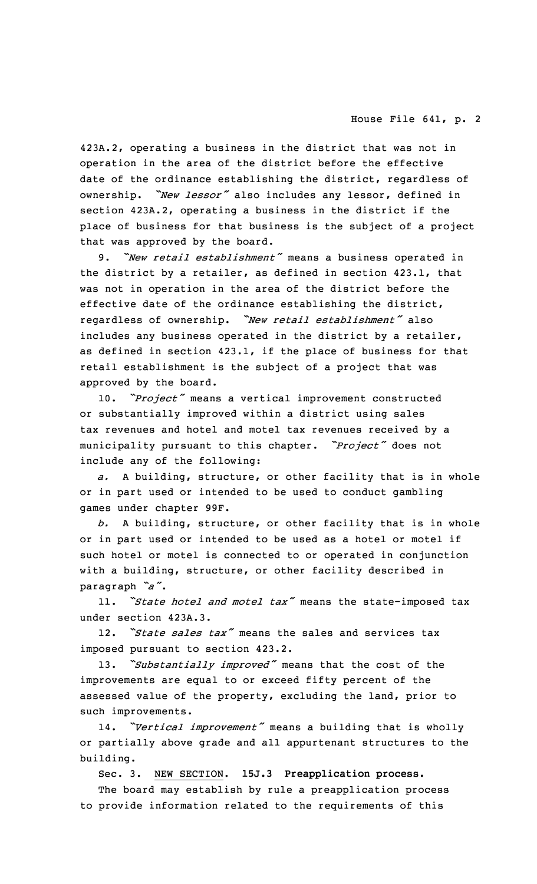423A.2, operating <sup>a</sup> business in the district that was not in operation in the area of the district before the effective date of the ordinance establishing the district, regardless of ownership. *"New lessor"* also includes any lessor, defined in section 423A.2, operating <sup>a</sup> business in the district if the place of business for that business is the subject of <sup>a</sup> project that was approved by the board.

9. *"New retail establishment"* means <sup>a</sup> business operated in the district by <sup>a</sup> retailer, as defined in section 423.1, that was not in operation in the area of the district before the effective date of the ordinance establishing the district, regardless of ownership. *"New retail establishment"* also includes any business operated in the district by <sup>a</sup> retailer, as defined in section 423.1, if the place of business for that retail establishment is the subject of <sup>a</sup> project that was approved by the board.

10. *"Project"* means <sup>a</sup> vertical improvement constructed or substantially improved within <sup>a</sup> district using sales tax revenues and hotel and motel tax revenues received by <sup>a</sup> municipality pursuant to this chapter. *"Project"* does not include any of the following:

*a.* <sup>A</sup> building, structure, or other facility that is in whole or in part used or intended to be used to conduct gambling games under chapter 99F.

*b.* <sup>A</sup> building, structure, or other facility that is in whole or in part used or intended to be used as <sup>a</sup> hotel or motel if such hotel or motel is connected to or operated in conjunction with <sup>a</sup> building, structure, or other facility described in paragraph *"a"*.

11. *"State hotel and motel tax"* means the state-imposed tax under section 423A.3.

12. *"State sales tax"* means the sales and services tax imposed pursuant to section 423.2.

13. *"Substantially improved"* means that the cost of the improvements are equal to or exceed fifty percent of the assessed value of the property, excluding the land, prior to such improvements.

14. *"Vertical improvement"* means <sup>a</sup> building that is wholly or partially above grade and all appurtenant structures to the building.

Sec. 3. NEW SECTION. **15J.3 Preapplication process.**

The board may establish by rule <sup>a</sup> preapplication process to provide information related to the requirements of this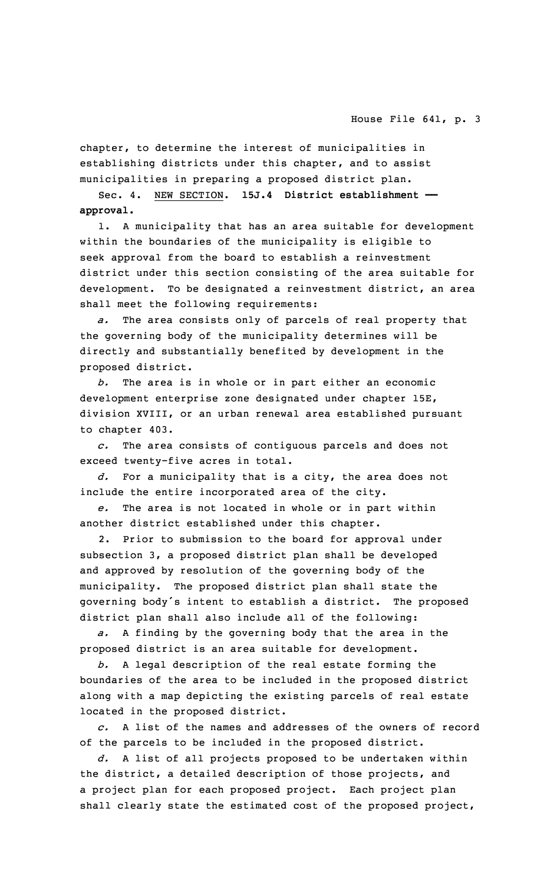chapter, to determine the interest of municipalities in establishing districts under this chapter, and to assist municipalities in preparing <sup>a</sup> proposed district plan.

Sec. 4. NEW SECTION. **15J.4 District establishment — approval.**

1. <sup>A</sup> municipality that has an area suitable for development within the boundaries of the municipality is eligible to seek approval from the board to establish <sup>a</sup> reinvestment district under this section consisting of the area suitable for development. To be designated <sup>a</sup> reinvestment district, an area shall meet the following requirements:

*a.* The area consists only of parcels of real property that the governing body of the municipality determines will be directly and substantially benefited by development in the proposed district.

*b.* The area is in whole or in part either an economic development enterprise zone designated under chapter 15E, division XVIII, or an urban renewal area established pursuant to chapter 403.

*c.* The area consists of contiguous parcels and does not exceed twenty-five acres in total.

*d.* For <sup>a</sup> municipality that is <sup>a</sup> city, the area does not include the entire incorporated area of the city.

*e.* The area is not located in whole or in part within another district established under this chapter.

2. Prior to submission to the board for approval under subsection 3, <sup>a</sup> proposed district plan shall be developed and approved by resolution of the governing body of the municipality. The proposed district plan shall state the governing body's intent to establish <sup>a</sup> district. The proposed district plan shall also include all of the following:

*a.* <sup>A</sup> finding by the governing body that the area in the proposed district is an area suitable for development.

*b.* <sup>A</sup> legal description of the real estate forming the boundaries of the area to be included in the proposed district along with <sup>a</sup> map depicting the existing parcels of real estate located in the proposed district.

*c.* A list of the names and addresses of the owners of record of the parcels to be included in the proposed district.

*d.* <sup>A</sup> list of all projects proposed to be undertaken within the district, <sup>a</sup> detailed description of those projects, and <sup>a</sup> project plan for each proposed project. Each project plan shall clearly state the estimated cost of the proposed project,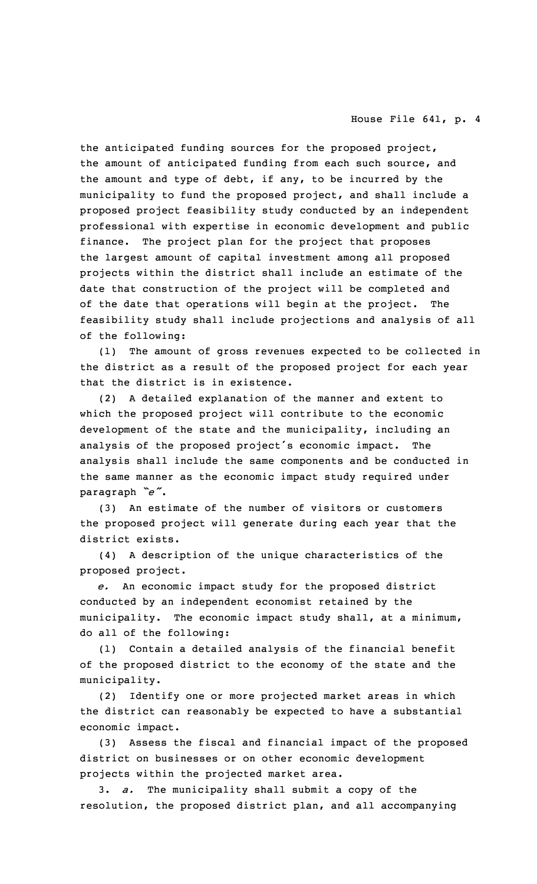## House File 641, p. 4

the anticipated funding sources for the proposed project, the amount of anticipated funding from each such source, and the amount and type of debt, if any, to be incurred by the municipality to fund the proposed project, and shall include <sup>a</sup> proposed project feasibility study conducted by an independent professional with expertise in economic development and public finance. The project plan for the project that proposes the largest amount of capital investment among all proposed projects within the district shall include an estimate of the date that construction of the project will be completed and of the date that operations will begin at the project. The feasibility study shall include projections and analysis of all of the following:

(1) The amount of gross revenues expected to be collected in the district as <sup>a</sup> result of the proposed project for each year that the district is in existence.

(2) <sup>A</sup> detailed explanation of the manner and extent to which the proposed project will contribute to the economic development of the state and the municipality, including an analysis of the proposed project's economic impact. The analysis shall include the same components and be conducted in the same manner as the economic impact study required under paragraph *"e"*.

(3) An estimate of the number of visitors or customers the proposed project will generate during each year that the district exists.

(4) <sup>A</sup> description of the unique characteristics of the proposed project.

*e.* An economic impact study for the proposed district conducted by an independent economist retained by the municipality. The economic impact study shall, at <sup>a</sup> minimum, do all of the following:

(1) Contain <sup>a</sup> detailed analysis of the financial benefit of the proposed district to the economy of the state and the municipality.

(2) Identify one or more projected market areas in which the district can reasonably be expected to have <sup>a</sup> substantial economic impact.

(3) Assess the fiscal and financial impact of the proposed district on businesses or on other economic development projects within the projected market area.

3. *a.* The municipality shall submit <sup>a</sup> copy of the resolution, the proposed district plan, and all accompanying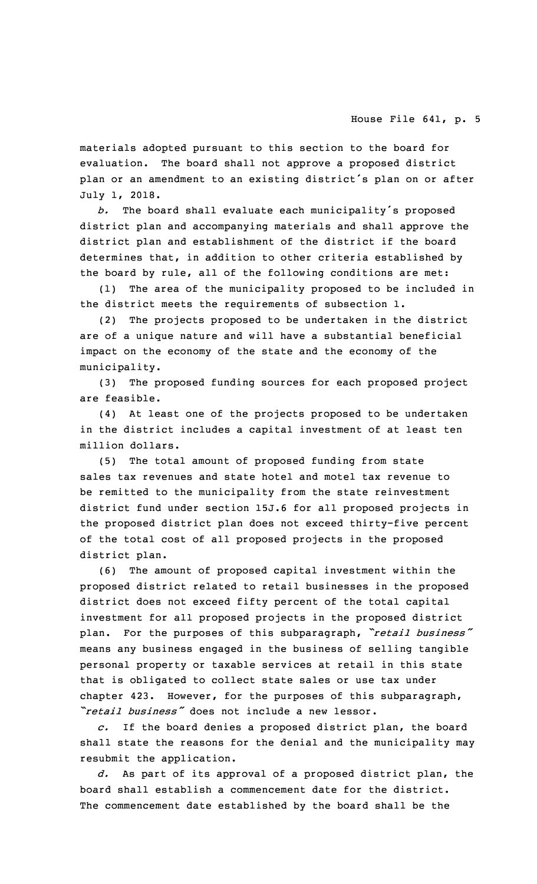materials adopted pursuant to this section to the board for evaluation. The board shall not approve <sup>a</sup> proposed district plan or an amendment to an existing district's plan on or after July 1, 2018.

*b.* The board shall evaluate each municipality's proposed district plan and accompanying materials and shall approve the district plan and establishment of the district if the board determines that, in addition to other criteria established by the board by rule, all of the following conditions are met:

(1) The area of the municipality proposed to be included in the district meets the requirements of subsection 1.

(2) The projects proposed to be undertaken in the district are of <sup>a</sup> unique nature and will have <sup>a</sup> substantial beneficial impact on the economy of the state and the economy of the municipality.

(3) The proposed funding sources for each proposed project are feasible.

(4) At least one of the projects proposed to be undertaken in the district includes <sup>a</sup> capital investment of at least ten million dollars.

(5) The total amount of proposed funding from state sales tax revenues and state hotel and motel tax revenue to be remitted to the municipality from the state reinvestment district fund under section 15J.6 for all proposed projects in the proposed district plan does not exceed thirty-five percent of the total cost of all proposed projects in the proposed district plan.

(6) The amount of proposed capital investment within the proposed district related to retail businesses in the proposed district does not exceed fifty percent of the total capital investment for all proposed projects in the proposed district plan. For the purposes of this subparagraph, *"retail business"* means any business engaged in the business of selling tangible personal property or taxable services at retail in this state that is obligated to collect state sales or use tax under chapter 423. However, for the purposes of this subparagraph, *"retail business"* does not include <sup>a</sup> new lessor.

*c.* If the board denies <sup>a</sup> proposed district plan, the board shall state the reasons for the denial and the municipality may resubmit the application.

*d.* As part of its approval of <sup>a</sup> proposed district plan, the board shall establish <sup>a</sup> commencement date for the district. The commencement date established by the board shall be the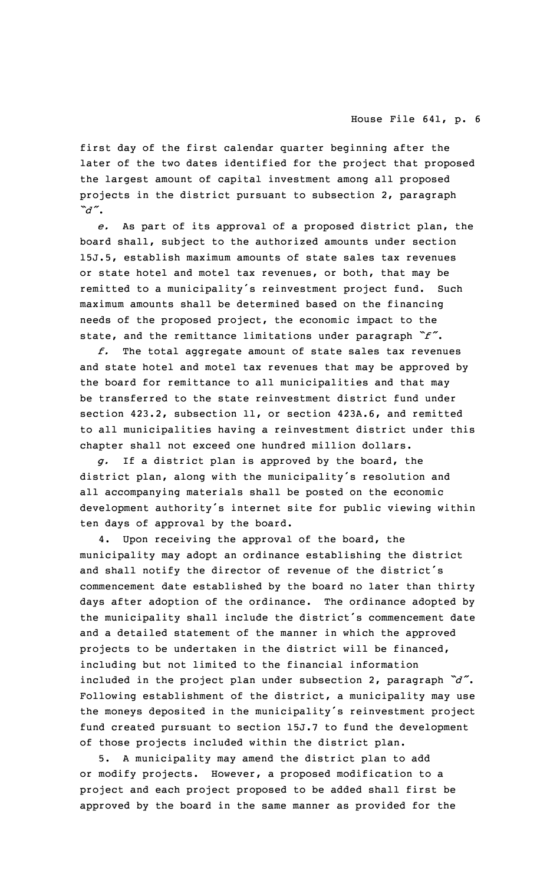## House File 641, p. 6

first day of the first calendar quarter beginning after the later of the two dates identified for the project that proposed the largest amount of capital investment among all proposed projects in the district pursuant to subsection 2, paragraph *"d"*.

*e.* As part of its approval of <sup>a</sup> proposed district plan, the board shall, subject to the authorized amounts under section 15J.5, establish maximum amounts of state sales tax revenues or state hotel and motel tax revenues, or both, that may be remitted to <sup>a</sup> municipality's reinvestment project fund. Such maximum amounts shall be determined based on the financing needs of the proposed project, the economic impact to the state, and the remittance limitations under paragraph *"f"*.

*f.* The total aggregate amount of state sales tax revenues and state hotel and motel tax revenues that may be approved by the board for remittance to all municipalities and that may be transferred to the state reinvestment district fund under section 423.2, subsection 11, or section 423A.6, and remitted to all municipalities having <sup>a</sup> reinvestment district under this chapter shall not exceed one hundred million dollars.

*g.* If <sup>a</sup> district plan is approved by the board, the district plan, along with the municipality's resolution and all accompanying materials shall be posted on the economic development authority's internet site for public viewing within ten days of approval by the board.

4. Upon receiving the approval of the board, the municipality may adopt an ordinance establishing the district and shall notify the director of revenue of the district's commencement date established by the board no later than thirty days after adoption of the ordinance. The ordinance adopted by the municipality shall include the district's commencement date and <sup>a</sup> detailed statement of the manner in which the approved projects to be undertaken in the district will be financed, including but not limited to the financial information included in the project plan under subsection 2, paragraph *"d"*. Following establishment of the district, <sup>a</sup> municipality may use the moneys deposited in the municipality's reinvestment project fund created pursuant to section 15J.7 to fund the development of those projects included within the district plan.

5. <sup>A</sup> municipality may amend the district plan to add or modify projects. However, <sup>a</sup> proposed modification to <sup>a</sup> project and each project proposed to be added shall first be approved by the board in the same manner as provided for the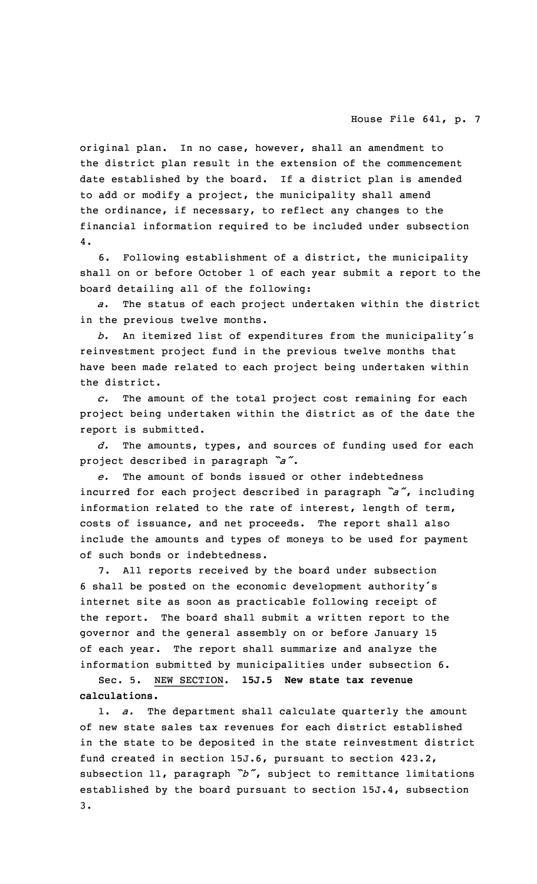original plan. In no case, however, shall an amendment to the district plan result in the extension of the commencement date established by the board. If <sup>a</sup> district plan is amended to add or modify <sup>a</sup> project, the municipality shall amend the ordinance, if necessary, to reflect any changes to the financial information required to be included under subsection 4.

6. Following establishment of <sup>a</sup> district, the municipality shall on or before October 1 of each year submit <sup>a</sup> report to the board detailing all of the following:

*a.* The status of each project undertaken within the district in the previous twelve months.

*b.* An itemized list of expenditures from the municipality's reinvestment project fund in the previous twelve months that have been made related to each project being undertaken within the district.

*c.* The amount of the total project cost remaining for each project being undertaken within the district as of the date the report is submitted.

*d.* The amounts, types, and sources of funding used for each project described in paragraph *"a"*.

*e.* The amount of bonds issued or other indebtedness incurred for each project described in paragraph *"a"*, including information related to the rate of interest, length of term, costs of issuance, and net proceeds. The report shall also include the amounts and types of moneys to be used for payment of such bonds or indebtedness.

7. All reports received by the board under subsection <sup>6</sup> shall be posted on the economic development authority's internet site as soon as practicable following receipt of the report. The board shall submit <sup>a</sup> written report to the governor and the general assembly on or before January 15 of each year. The report shall summarize and analyze the information submitted by municipalities under subsection 6.

Sec. 5. NEW SECTION. **15J.5 New state tax revenue calculations.**

1. *a.* The department shall calculate quarterly the amount of new state sales tax revenues for each district established in the state to be deposited in the state reinvestment district fund created in section 15J.6, pursuant to section 423.2, subsection 11, paragraph *"b"*, subject to remittance limitations established by the board pursuant to section 15J.4, subsection 3.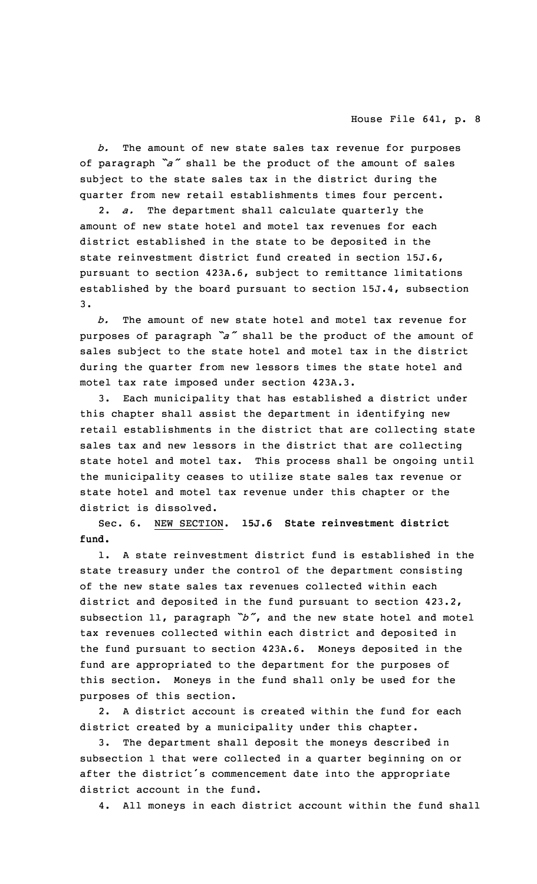*b.* The amount of new state sales tax revenue for purposes of paragraph *"a"* shall be the product of the amount of sales subject to the state sales tax in the district during the quarter from new retail establishments times four percent.

2. *a.* The department shall calculate quarterly the amount of new state hotel and motel tax revenues for each district established in the state to be deposited in the state reinvestment district fund created in section 15J.6, pursuant to section 423A.6, subject to remittance limitations established by the board pursuant to section 15J.4, subsection 3.

*b.* The amount of new state hotel and motel tax revenue for purposes of paragraph *"a"* shall be the product of the amount of sales subject to the state hotel and motel tax in the district during the quarter from new lessors times the state hotel and motel tax rate imposed under section 423A.3.

3. Each municipality that has established <sup>a</sup> district under this chapter shall assist the department in identifying new retail establishments in the district that are collecting state sales tax and new lessors in the district that are collecting state hotel and motel tax. This process shall be ongoing until the municipality ceases to utilize state sales tax revenue or state hotel and motel tax revenue under this chapter or the district is dissolved.

Sec. 6. NEW SECTION. **15J.6 State reinvestment district fund.**

1. A state reinvestment district fund is established in the state treasury under the control of the department consisting of the new state sales tax revenues collected within each district and deposited in the fund pursuant to section 423.2, subsection 11, paragraph *"b"*, and the new state hotel and motel tax revenues collected within each district and deposited in the fund pursuant to section 423A.6. Moneys deposited in the fund are appropriated to the department for the purposes of this section. Moneys in the fund shall only be used for the purposes of this section.

2. A district account is created within the fund for each district created by <sup>a</sup> municipality under this chapter.

The department shall deposit the moneys described in subsection 1 that were collected in <sup>a</sup> quarter beginning on or after the district's commencement date into the appropriate district account in the fund.

4. All moneys in each district account within the fund shall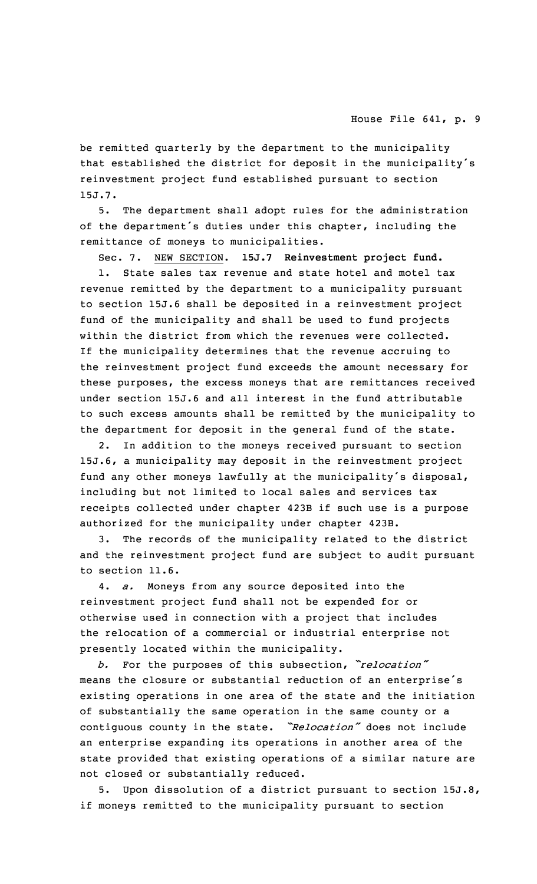be remitted quarterly by the department to the municipality that established the district for deposit in the municipality's reinvestment project fund established pursuant to section 15J.7.

5. The department shall adopt rules for the administration of the department's duties under this chapter, including the remittance of moneys to municipalities.

Sec. 7. NEW SECTION. **15J.7 Reinvestment project fund.**

1. State sales tax revenue and state hotel and motel tax revenue remitted by the department to <sup>a</sup> municipality pursuant to section 15J.6 shall be deposited in <sup>a</sup> reinvestment project fund of the municipality and shall be used to fund projects within the district from which the revenues were collected. If the municipality determines that the revenue accruing to the reinvestment project fund exceeds the amount necessary for these purposes, the excess moneys that are remittances received under section 15J.6 and all interest in the fund attributable to such excess amounts shall be remitted by the municipality to the department for deposit in the general fund of the state.

2. In addition to the moneys received pursuant to section 15J.6, <sup>a</sup> municipality may deposit in the reinvestment project fund any other moneys lawfully at the municipality's disposal, including but not limited to local sales and services tax receipts collected under chapter 423B if such use is <sup>a</sup> purpose authorized for the municipality under chapter 423B.

3. The records of the municipality related to the district and the reinvestment project fund are subject to audit pursuant to section 11.6.

4. *a.* Moneys from any source deposited into the reinvestment project fund shall not be expended for or otherwise used in connection with <sup>a</sup> project that includes the relocation of <sup>a</sup> commercial or industrial enterprise not presently located within the municipality.

*b.* For the purposes of this subsection, *"relocation"* means the closure or substantial reduction of an enterprise's existing operations in one area of the state and the initiation of substantially the same operation in the same county or <sup>a</sup> contiguous county in the state. *"Relocation"* does not include an enterprise expanding its operations in another area of the state provided that existing operations of <sup>a</sup> similar nature are not closed or substantially reduced.

5. Upon dissolution of <sup>a</sup> district pursuant to section 15J.8, if moneys remitted to the municipality pursuant to section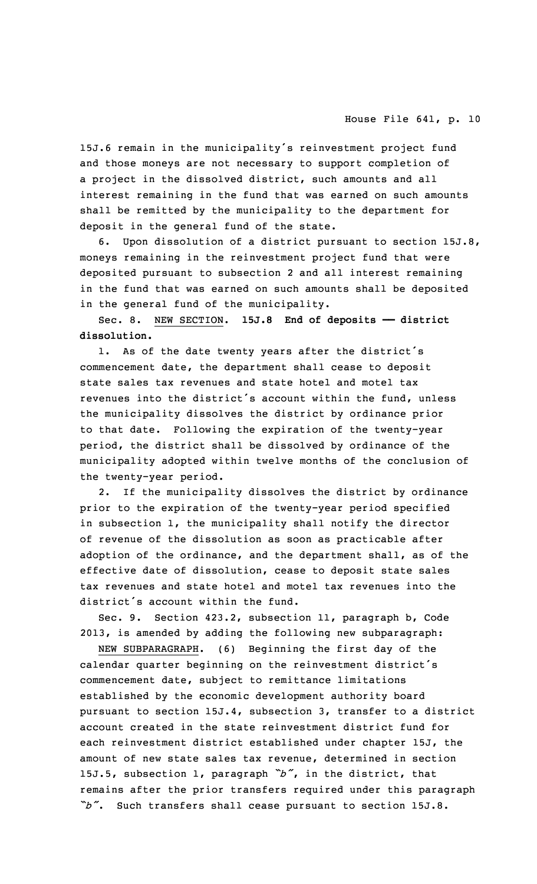15J.6 remain in the municipality's reinvestment project fund and those moneys are not necessary to support completion of <sup>a</sup> project in the dissolved district, such amounts and all interest remaining in the fund that was earned on such amounts shall be remitted by the municipality to the department for deposit in the general fund of the state.

6. Upon dissolution of <sup>a</sup> district pursuant to section 15J.8, moneys remaining in the reinvestment project fund that were deposited pursuant to subsection 2 and all interest remaining in the fund that was earned on such amounts shall be deposited in the general fund of the municipality.

Sec. 8. NEW SECTION. **15J.8 End of deposits —— district dissolution.**

1. As of the date twenty years after the district's commencement date, the department shall cease to deposit state sales tax revenues and state hotel and motel tax revenues into the district's account within the fund, unless the municipality dissolves the district by ordinance prior to that date. Following the expiration of the twenty-year period, the district shall be dissolved by ordinance of the municipality adopted within twelve months of the conclusion of the twenty-year period.

2. If the municipality dissolves the district by ordinance prior to the expiration of the twenty-year period specified in subsection 1, the municipality shall notify the director of revenue of the dissolution as soon as practicable after adoption of the ordinance, and the department shall, as of the effective date of dissolution, cease to deposit state sales tax revenues and state hotel and motel tax revenues into the district's account within the fund.

Sec. 9. Section 423.2, subsection 11, paragraph b, Code 2013, is amended by adding the following new subparagraph:

NEW SUBPARAGRAPH. (6) Beginning the first day of the calendar quarter beginning on the reinvestment district's commencement date, subject to remittance limitations established by the economic development authority board pursuant to section 15J.4, subsection 3, transfer to <sup>a</sup> district account created in the state reinvestment district fund for each reinvestment district established under chapter 15J, the amount of new state sales tax revenue, determined in section 15J.5, subsection 1, paragraph *"b"*, in the district, that remains after the prior transfers required under this paragraph *"b"*. Such transfers shall cease pursuant to section 15J.8.